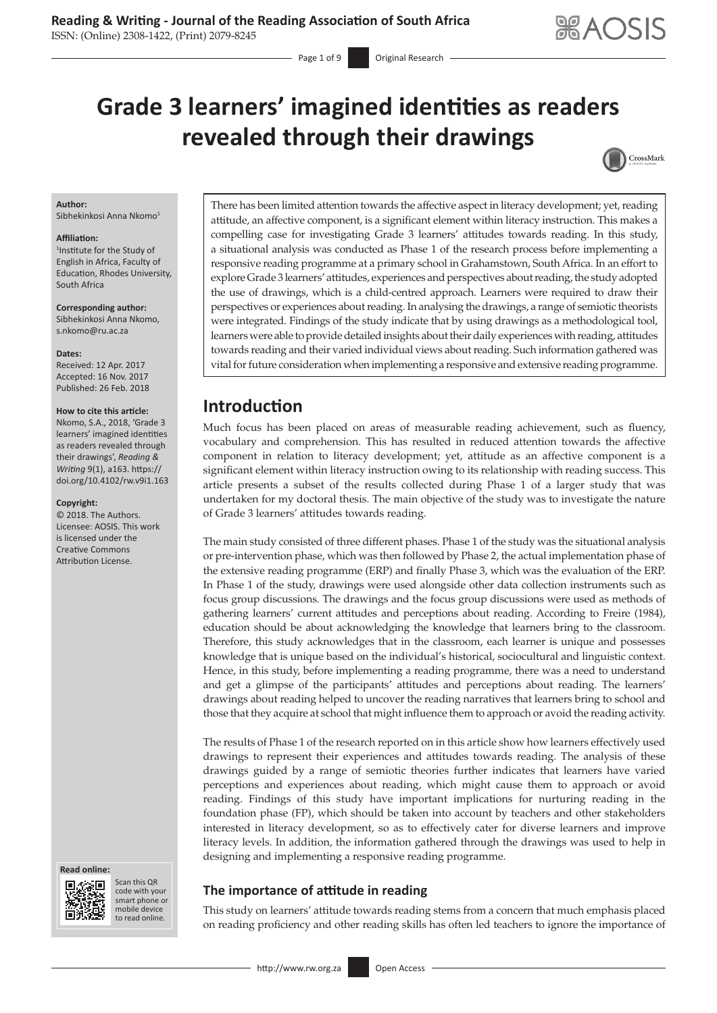# **Grade 3 learners' imagined identities as readers revealed through their drawings**

Page 1 of 9 **Original Research** 



#### **Author:**

Sibhekinkosi Anna Nkomo<sup>1</sup>

#### **Affiliation:**

1 Institute for the Study of English in Africa, Faculty of Education, Rhodes University, South Africa

**Corresponding author:**

Sibhekinkosi Anna Nkomo, [s.nkomo@ru.ac.za](mailto:s.nkomo@ru.ac.za)

#### **Dates:**

Received: 12 Apr. 2017 Accepted: 16 Nov. 2017 Published: 26 Feb. 2018

#### **How to cite this article:**

Nkomo, S.A., 2018, 'Grade 3 learners' imagined identities as readers revealed through their drawings', *Reading & Writing* 9(1), a163. [https://](https://doi.org/10.4102/rw.v9i1.163) [doi.org/10.4102/rw.v9i1.163](https://doi.org/10.4102/rw.v9i1.163)

#### **Copyright:**

© 2018. The Authors. Licensee: AOSIS. This work is licensed under the Creative Commons Attribution License.





Scan this QR code with your Scan this QR<br>code with your<br>smart phone or<br>mobile device mobile device to read online. to read online.

There has been limited attention towards the affective aspect in literacy development; yet, reading attitude, an affective component, is a significant element within literacy instruction. This makes a compelling case for investigating Grade 3 learners' attitudes towards reading. In this study, a situational analysis was conducted as Phase 1 of the research process before implementing a responsive reading programme at a primary school in Grahamstown, South Africa. In an effort to explore Grade 3 learners' attitudes, experiences and perspectives about reading, the study adopted the use of drawings, which is a child-centred approach. Learners were required to draw their perspectives or experiences about reading. In analysing the drawings, a range of semiotic theorists were integrated. Findings of the study indicate that by using drawings as a methodological tool, learners were able to provide detailed insights about their daily experiences with reading, attitudes towards reading and their varied individual views about reading. Such information gathered was vital for future consideration when implementing a responsive and extensive reading programme.

## **Introduction**

Much focus has been placed on areas of measurable reading achievement, such as fluency, vocabulary and comprehension. This has resulted in reduced attention towards the affective component in relation to literacy development; yet, attitude as an affective component is a significant element within literacy instruction owing to its relationship with reading success. This article presents a subset of the results collected during Phase 1 of a larger study that was undertaken for my doctoral thesis. The main objective of the study was to investigate the nature of Grade 3 learners' attitudes towards reading.

The main study consisted of three different phases. Phase 1 of the study was the situational analysis or pre-intervention phase, which was then followed by Phase 2, the actual implementation phase of the extensive reading programme (ERP) and finally Phase 3, which was the evaluation of the ERP. In Phase 1 of the study, drawings were used alongside other data collection instruments such as focus group discussions. The drawings and the focus group discussions were used as methods of gathering learners' current attitudes and perceptions about reading. According to Freire (1984), education should be about acknowledging the knowledge that learners bring to the classroom. Therefore, this study acknowledges that in the classroom, each learner is unique and possesses knowledge that is unique based on the individual's historical, sociocultural and linguistic context. Hence, in this study, before implementing a reading programme, there was a need to understand and get a glimpse of the participants' attitudes and perceptions about reading. The learners' drawings about reading helped to uncover the reading narratives that learners bring to school and those that they acquire at school that might influence them to approach or avoid the reading activity.

The results of Phase 1 of the research reported on in this article show how learners effectively used drawings to represent their experiences and attitudes towards reading. The analysis of these drawings guided by a range of semiotic theories further indicates that learners have varied perceptions and experiences about reading, which might cause them to approach or avoid reading. Findings of this study have important implications for nurturing reading in the foundation phase (FP), which should be taken into account by teachers and other stakeholders interested in literacy development, so as to effectively cater for diverse learners and improve literacy levels. In addition, the information gathered through the drawings was used to help in designing and implementing a responsive reading programme.

### **The importance of attitude in reading**

This study on learners' attitude towards reading stems from a concern that much emphasis placed on reading proficiency and other reading skills has often led teachers to ignore the importance of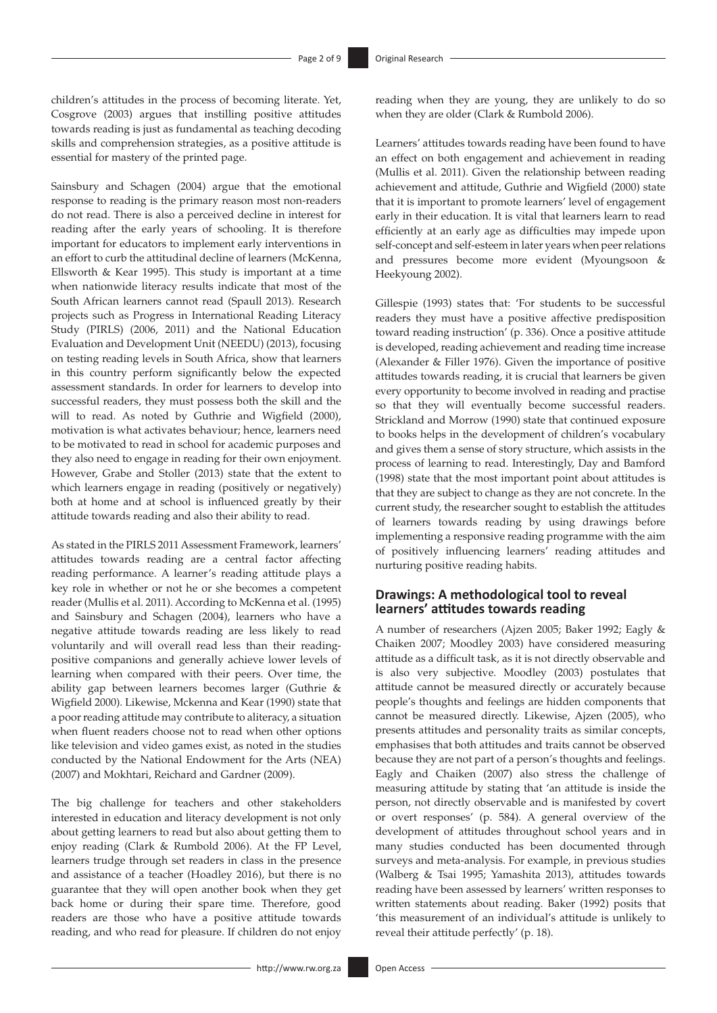children's attitudes in the process of becoming literate. Yet, Cosgrove (2003) argues that instilling positive attitudes towards reading is just as fundamental as teaching decoding skills and comprehension strategies, as a positive attitude is essential for mastery of the printed page.

Sainsbury and Schagen (2004) argue that the emotional response to reading is the primary reason most non-readers do not read. There is also a perceived decline in interest for reading after the early years of schooling. It is therefore important for educators to implement early interventions in an effort to curb the attitudinal decline of learners (McKenna, Ellsworth & Kear 1995). This study is important at a time when nationwide literacy results indicate that most of the South African learners cannot read (Spaull 2013). Research projects such as Progress in International Reading Literacy Study (PIRLS) (2006, 2011) and the National Education Evaluation and Development Unit (NEEDU) (2013), focusing on testing reading levels in South Africa, show that learners in this country perform significantly below the expected assessment standards. In order for learners to develop into successful readers, they must possess both the skill and the will to read. As noted by Guthrie and Wigfield (2000), motivation is what activates behaviour; hence, learners need to be motivated to read in school for academic purposes and they also need to engage in reading for their own enjoyment. However, Grabe and Stoller (2013) state that the extent to which learners engage in reading (positively or negatively) both at home and at school is influenced greatly by their attitude towards reading and also their ability to read.

As stated in the PIRLS 2011 Assessment Framework, learners' attitudes towards reading are a central factor affecting reading performance. A learner's reading attitude plays a key role in whether or not he or she becomes a competent reader (Mullis et al. 2011). According to McKenna et al. (1995) and Sainsbury and Schagen (2004), learners who have a negative attitude towards reading are less likely to read voluntarily and will overall read less than their readingpositive companions and generally achieve lower levels of learning when compared with their peers. Over time, the ability gap between learners becomes larger (Guthrie & Wigfield 2000). Likewise, Mckenna and Kear (1990) state that a poor reading attitude may contribute to aliteracy, a situation when fluent readers choose not to read when other options like television and video games exist, as noted in the studies conducted by the National Endowment for the Arts (NEA) (2007) and Mokhtari, Reichard and Gardner (2009).

The big challenge for teachers and other stakeholders interested in education and literacy development is not only about getting learners to read but also about getting them to enjoy reading (Clark & Rumbold 2006). At the FP Level, learners trudge through set readers in class in the presence and assistance of a teacher (Hoadley 2016), but there is no guarantee that they will open another book when they get back home or during their spare time. Therefore, good readers are those who have a positive attitude towards reading, and who read for pleasure. If children do not enjoy

reading when they are young, they are unlikely to do so when they are older (Clark & Rumbold 2006).

Learners' attitudes towards reading have been found to have an effect on both engagement and achievement in reading (Mullis et al. 2011). Given the relationship between reading achievement and attitude, Guthrie and Wigfield (2000) state that it is important to promote learners' level of engagement early in their education. It is vital that learners learn to read efficiently at an early age as difficulties may impede upon self-concept and self-esteem in later years when peer relations and pressures become more evident (Myoungsoon & Heekyoung 2002).

Gillespie (1993) states that: 'For students to be successful readers they must have a positive affective predisposition toward reading instruction' (p. 336). Once a positive attitude is developed, reading achievement and reading time increase (Alexander & Filler 1976). Given the importance of positive attitudes towards reading, it is crucial that learners be given every opportunity to become involved in reading and practise so that they will eventually become successful readers. Strickland and Morrow (1990) state that continued exposure to books helps in the development of children's vocabulary and gives them a sense of story structure, which assists in the process of learning to read. Interestingly, Day and Bamford (1998) state that the most important point about attitudes is that they are subject to change as they are not concrete. In the current study, the researcher sought to establish the attitudes of learners towards reading by using drawings before implementing a responsive reading programme with the aim of positively influencing learners' reading attitudes and nurturing positive reading habits.

### **Drawings: A methodological tool to reveal learners' attitudes towards reading**

A number of researchers (Ajzen 2005; Baker 1992; Eagly & Chaiken 2007; Moodley 2003) have considered measuring attitude as a difficult task, as it is not directly observable and is also very subjective. Moodley (2003) postulates that attitude cannot be measured directly or accurately because people's thoughts and feelings are hidden components that cannot be measured directly. Likewise, Ajzen (2005), who presents attitudes and personality traits as similar concepts, emphasises that both attitudes and traits cannot be observed because they are not part of a person's thoughts and feelings. Eagly and Chaiken (2007) also stress the challenge of measuring attitude by stating that 'an attitude is inside the person, not directly observable and is manifested by covert or overt responses' (p. 584). A general overview of the development of attitudes throughout school years and in many studies conducted has been documented through surveys and meta-analysis. For example, in previous studies (Walberg & Tsai 1995; Yamashita 2013), attitudes towards reading have been assessed by learners' written responses to written statements about reading. Baker (1992) posits that 'this measurement of an individual's attitude is unlikely to reveal their attitude perfectly' (p. 18).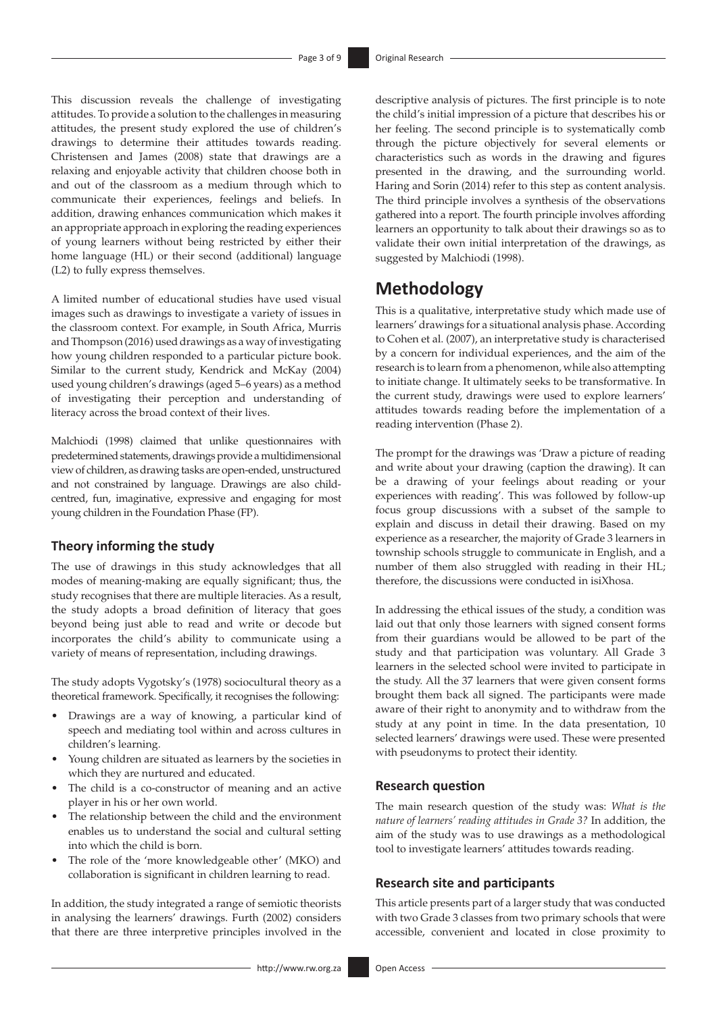This discussion reveals the challenge of investigating attitudes. To provide a solution to the challenges in measuring attitudes, the present study explored the use of children's drawings to determine their attitudes towards reading. Christensen and James (2008) state that drawings are a relaxing and enjoyable activity that children choose both in and out of the classroom as a medium through which to communicate their experiences, feelings and beliefs. In addition, drawing enhances communication which makes it an appropriate approach in exploring the reading experiences of young learners without being restricted by either their home language (HL) or their second (additional) language (L2) to fully express themselves.

A limited number of educational studies have used visual images such as drawings to investigate a variety of issues in the classroom context. For example, in South Africa, Murris and Thompson (2016) used drawings as a way of investigating how young children responded to a particular picture book. Similar to the current study, Kendrick and McKay (2004) used young children's drawings (aged 5–6 years) as a method of investigating their perception and understanding of literacy across the broad context of their lives.

Malchiodi (1998) claimed that unlike questionnaires with predetermined statements, drawings provide a multidimensional view of children, as drawing tasks are open-ended, unstructured and not constrained by language. Drawings are also childcentred, fun, imaginative, expressive and engaging for most young children in the Foundation Phase (FP).

### **Theory informing the study**

The use of drawings in this study acknowledges that all modes of meaning-making are equally significant; thus, the study recognises that there are multiple literacies. As a result, the study adopts a broad definition of literacy that goes beyond being just able to read and write or decode but incorporates the child's ability to communicate using a variety of means of representation, including drawings.

The study adopts Vygotsky's (1978) sociocultural theory as a theoretical framework. Specifically, it recognises the following:

- Drawings are a way of knowing, a particular kind of speech and mediating tool within and across cultures in children's learning.
- Young children are situated as learners by the societies in which they are nurtured and educated.
- The child is a co-constructor of meaning and an active player in his or her own world.
- The relationship between the child and the environment enables us to understand the social and cultural setting into which the child is born.
- The role of the 'more knowledgeable other' (MKO) and collaboration is significant in children learning to read.

In addition, the study integrated a range of semiotic theorists in analysing the learners' drawings. Furth (2002) considers that there are three interpretive principles involved in the

descriptive analysis of pictures. The first principle is to note the child's initial impression of a picture that describes his or her feeling. The second principle is to systematically comb through the picture objectively for several elements or characteristics such as words in the drawing and figures presented in the drawing, and the surrounding world. Haring and Sorin (2014) refer to this step as content analysis. The third principle involves a synthesis of the observations gathered into a report. The fourth principle involves affording learners an opportunity to talk about their drawings so as to validate their own initial interpretation of the drawings, as suggested by Malchiodi (1998).

# **Methodology**

This is a qualitative, interpretative study which made use of learners' drawings for a situational analysis phase. According to Cohen et al. (2007), an interpretative study is characterised by a concern for individual experiences, and the aim of the research is to learn from a phenomenon, while also attempting to initiate change. It ultimately seeks to be transformative. In the current study, drawings were used to explore learners' attitudes towards reading before the implementation of a reading intervention (Phase 2).

The prompt for the drawings was 'Draw a picture of reading and write about your drawing (caption the drawing). It can be a drawing of your feelings about reading or your experiences with reading'. This was followed by follow-up focus group discussions with a subset of the sample to explain and discuss in detail their drawing. Based on my experience as a researcher, the majority of Grade 3 learners in township schools struggle to communicate in English, and a number of them also struggled with reading in their HL; therefore, the discussions were conducted in isiXhosa.

In addressing the ethical issues of the study, a condition was laid out that only those learners with signed consent forms from their guardians would be allowed to be part of the study and that participation was voluntary. All Grade 3 learners in the selected school were invited to participate in the study. All the 37 learners that were given consent forms brought them back all signed. The participants were made aware of their right to anonymity and to withdraw from the study at any point in time. In the data presentation, 10 selected learners' drawings were used. These were presented with pseudonyms to protect their identity.

### **Research question**

The main research question of the study was: *What is the nature of learners' reading attitudes in Grade 3?* In addition, the aim of the study was to use drawings as a methodological tool to investigate learners' attitudes towards reading.

#### **Research site and participants**

This article presents part of a larger study that was conducted with two Grade 3 classes from two primary schools that were accessible, convenient and located in close proximity to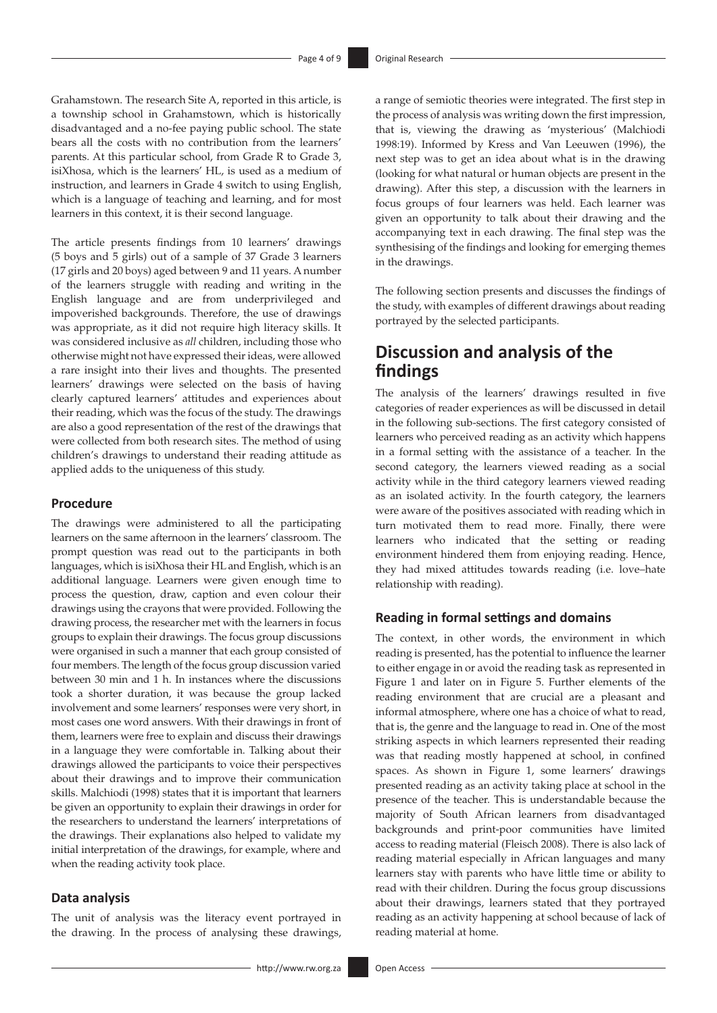Grahamstown. The research Site A, reported in this article, is a township school in Grahamstown, which is historically disadvantaged and a no-fee paying public school. The state bears all the costs with no contribution from the learners' parents. At this particular school, from Grade R to Grade 3, isiXhosa, which is the learners' HL, is used as a medium of instruction, and learners in Grade 4 switch to using English, which is a language of teaching and learning, and for most learners in this context, it is their second language.

The article presents findings from 10 learners' drawings (5 boys and 5 girls) out of a sample of 37 Grade 3 learners (17 girls and 20 boys) aged between 9 and 11 years. A number of the learners struggle with reading and writing in the English language and are from underprivileged and impoverished backgrounds. Therefore, the use of drawings was appropriate, as it did not require high literacy skills. It was considered inclusive as *all* children, including those who otherwise might not have expressed their ideas, were allowed a rare insight into their lives and thoughts. The presented learners' drawings were selected on the basis of having clearly captured learners' attitudes and experiences about their reading, which was the focus of the study. The drawings are also a good representation of the rest of the drawings that were collected from both research sites. The method of using children's drawings to understand their reading attitude as applied adds to the uniqueness of this study.

#### **Procedure**

The drawings were administered to all the participating learners on the same afternoon in the learners' classroom. The prompt question was read out to the participants in both languages, which is isiXhosa their HL and English, which is an additional language. Learners were given enough time to process the question, draw, caption and even colour their drawings using the crayons that were provided. Following the drawing process, the researcher met with the learners in focus groups to explain their drawings. The focus group discussions were organised in such a manner that each group consisted of four members. The length of the focus group discussion varied between 30 min and 1 h. In instances where the discussions took a shorter duration, it was because the group lacked involvement and some learners' responses were very short, in most cases one word answers. With their drawings in front of them, learners were free to explain and discuss their drawings in a language they were comfortable in. Talking about their drawings allowed the participants to voice their perspectives about their drawings and to improve their communication skills. Malchiodi (1998) states that it is important that learners be given an opportunity to explain their drawings in order for the researchers to understand the learners' interpretations of the drawings. Their explanations also helped to validate my initial interpretation of the drawings, for example, where and when the reading activity took place.

#### **Data analysis**

The unit of analysis was the literacy event portrayed in the drawing. In the process of analysing these drawings,

a range of semiotic theories were integrated. The first step in the process of analysis was writing down the first impression, that is, viewing the drawing as 'mysterious' (Malchiodi 1998:19). Informed by Kress and Van Leeuwen (1996), the next step was to get an idea about what is in the drawing (looking for what natural or human objects are present in the drawing). After this step, a discussion with the learners in focus groups of four learners was held. Each learner was given an opportunity to talk about their drawing and the accompanying text in each drawing. The final step was the synthesising of the findings and looking for emerging themes in the drawings.

The following section presents and discusses the findings of the study, with examples of different drawings about reading portrayed by the selected participants.

# **Discussion and analysis of the findings**

The analysis of the learners' drawings resulted in five categories of reader experiences as will be discussed in detail in the following sub-sections. The first category consisted of learners who perceived reading as an activity which happens in a formal setting with the assistance of a teacher. In the second category, the learners viewed reading as a social activity while in the third category learners viewed reading as an isolated activity. In the fourth category, the learners were aware of the positives associated with reading which in turn motivated them to read more. Finally, there were learners who indicated that the setting or reading environment hindered them from enjoying reading. Hence, they had mixed attitudes towards reading (i.e. love–hate relationship with reading).

### **Reading in formal settings and domains**

The context, in other words, the environment in which reading is presented, has the potential to influence the learner to either engage in or avoid the reading task as represented in Figure 1 and later on in Figure 5. Further elements of the reading environment that are crucial are a pleasant and informal atmosphere, where one has a choice of what to read, that is, the genre and the language to read in. One of the most striking aspects in which learners represented their reading was that reading mostly happened at school, in confined spaces. As shown in Figure 1, some learners' drawings presented reading as an activity taking place at school in the presence of the teacher. This is understandable because the majority of South African learners from disadvantaged backgrounds and print-poor communities have limited access to reading material (Fleisch 2008). There is also lack of reading material especially in African languages and many learners stay with parents who have little time or ability to read with their children. During the focus group discussions about their drawings, learners stated that they portrayed reading as an activity happening at school because of lack of reading material at home.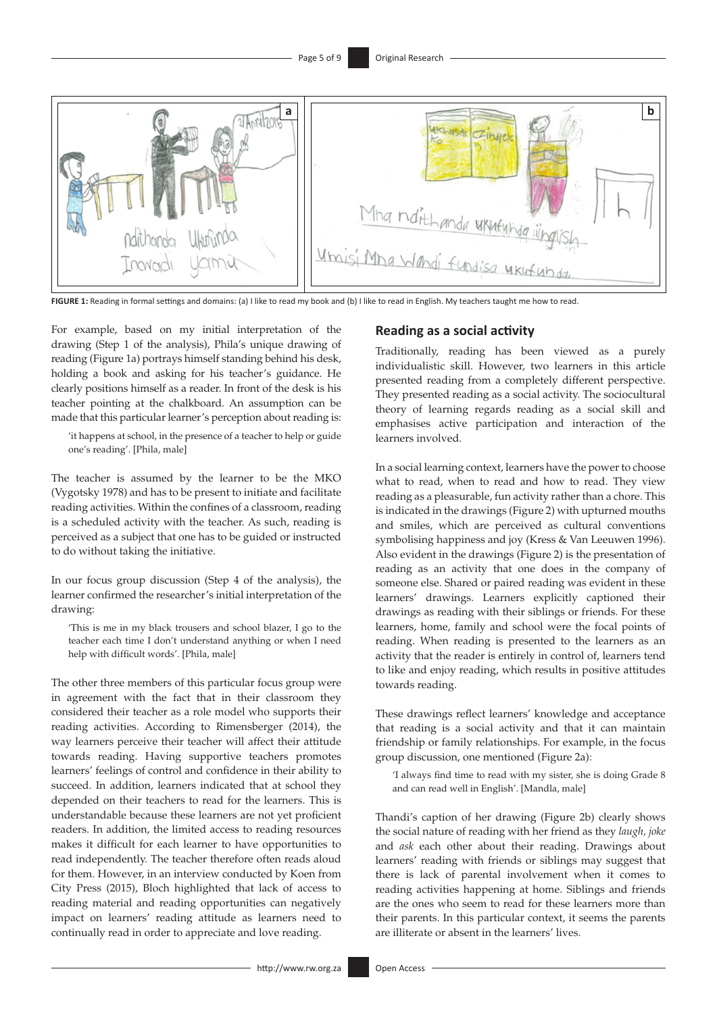

**FIGURE 1:** Reading in formal settings and domains: (a) I like to read my book and (b) I like to read in English. My teachers taught me how to read

For example, based on my initial interpretation of the drawing (Step 1 of the analysis), Phila's unique drawing of reading (Figure 1a) portrays himself standing behind his desk, holding a book and asking for his teacher's guidance. He clearly positions himself as a reader. In front of the desk is his teacher pointing at the chalkboard. An assumption can be made that this particular learner's perception about reading is:

'it happens at school, in the presence of a teacher to help or guide one's reading'. [Phila, male]

The teacher is assumed by the learner to be the MKO (Vygotsky 1978) and has to be present to initiate and facilitate reading activities. Within the confines of a classroom, reading is a scheduled activity with the teacher. As such, reading is perceived as a subject that one has to be guided or instructed to do without taking the initiative.

In our focus group discussion (Step 4 of the analysis), the learner confirmed the researcher's initial interpretation of the drawing:

'This is me in my black trousers and school blazer, I go to the teacher each time I don't understand anything or when I need help with difficult words'. [Phila, male]

The other three members of this particular focus group were in agreement with the fact that in their classroom they considered their teacher as a role model who supports their reading activities. According to Rimensberger (2014), the way learners perceive their teacher will affect their attitude towards reading. Having supportive teachers promotes learners' feelings of control and confidence in their ability to succeed. In addition, learners indicated that at school they depended on their teachers to read for the learners. This is understandable because these learners are not yet proficient readers. In addition, the limited access to reading resources makes it difficult for each learner to have opportunities to read independently. The teacher therefore often reads aloud for them. However, in an interview conducted by Koen from City Press (2015), Bloch highlighted that lack of access to reading material and reading opportunities can negatively impact on learners' reading attitude as learners need to continually read in order to appreciate and love reading.

#### **Reading as a social activity**

Traditionally, reading has been viewed as a purely individualistic skill. However, two learners in this article presented reading from a completely different perspective. They presented reading as a social activity. The sociocultural theory of learning regards reading as a social skill and emphasises active participation and interaction of the learners involved.

In a social learning context, learners have the power to choose what to read, when to read and how to read. They view reading as a pleasurable, fun activity rather than a chore. This is indicated in the drawings (Figure 2) with upturned mouths and smiles, which are perceived as cultural conventions symbolising happiness and joy (Kress & Van Leeuwen 1996). Also evident in the drawings (Figure 2) is the presentation of reading as an activity that one does in the company of someone else. Shared or paired reading was evident in these learners' drawings. Learners explicitly captioned their drawings as reading with their siblings or friends. For these learners, home, family and school were the focal points of reading. When reading is presented to the learners as an activity that the reader is entirely in control of, learners tend to like and enjoy reading, which results in positive attitudes towards reading.

These drawings reflect learners' knowledge and acceptance that reading is a social activity and that it can maintain friendship or family relationships. For example, in the focus group discussion, one mentioned (Figure 2a):

'I always find time to read with my sister, she is doing Grade 8 and can read well in English'. [Mandla, male]

Thandi's caption of her drawing (Figure 2b) clearly shows the social nature of reading with her friend as they *laugh, joke* and *ask* each other about their reading. Drawings about learners' reading with friends or siblings may suggest that there is lack of parental involvement when it comes to reading activities happening at home. Siblings and friends are the ones who seem to read for these learners more than their parents. In this particular context, it seems the parents are illiterate or absent in the learners' lives.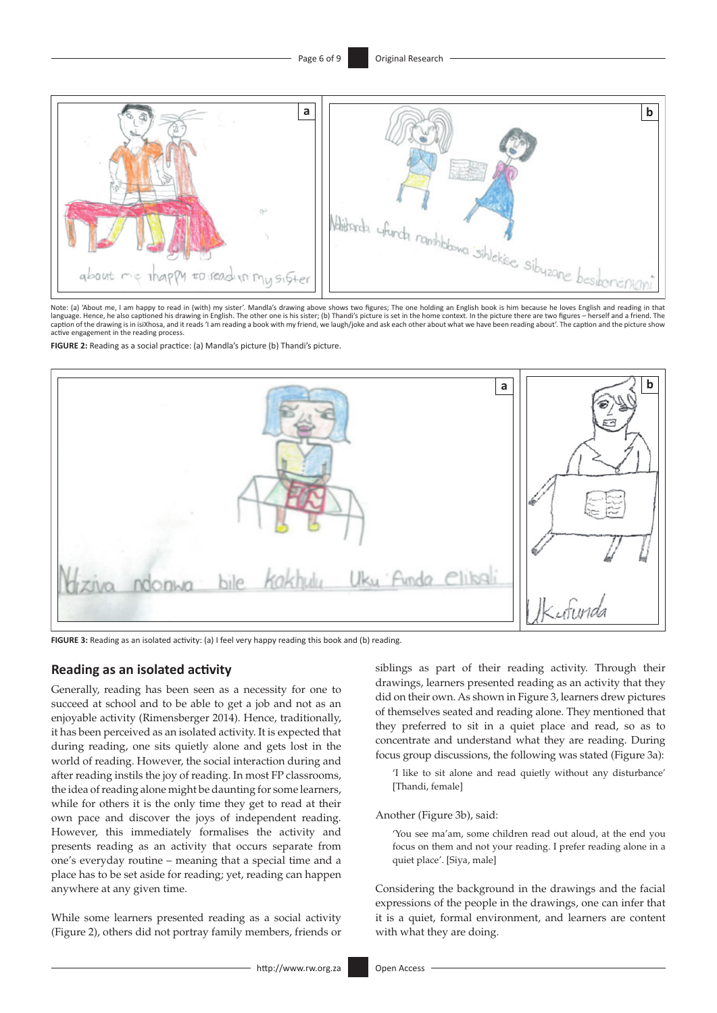

Note: (a) 'About me, I am happy to read in (with) my sister'. Mandla's drawing above shows two figures; The one holding an English book is him because he loves English and reading in language. Hence, he also captioned his drawing in English. The other one is his sister; (b) Thandi's picture is set in the home context. In the picture there are two figures – herself and a friend. The<br>caption of the drawi active engagement in the reading process.

**FIGURE 2:** Reading as a social practice: (a) Mandla's picture (b) Thandi's picture.



**FIGURE 3:** Reading as an isolated activity: (a) I feel very happy reading this book and (b) reading.

#### **Reading as an isolated activity**

Generally, reading has been seen as a necessity for one to succeed at school and to be able to get a job and not as an enjoyable activity (Rimensberger 2014). Hence, traditionally, it has been perceived as an isolated activity. It is expected that during reading, one sits quietly alone and gets lost in the world of reading. However, the social interaction during and after reading instils the joy of reading. In most FP classrooms, the idea of reading alone might be daunting for some learners, while for others it is the only time they get to read at their own pace and discover the joys of independent reading. However, this immediately formalises the activity and presents reading as an activity that occurs separate from one's everyday routine – meaning that a special time and a place has to be set aside for reading; yet, reading can happen anywhere at any given time.

While some learners presented reading as a social activity (Figure 2), others did not portray family members, friends or siblings as part of their reading activity. Through their drawings, learners presented reading as an activity that they did on their own. As shown in Figure 3, learners drew pictures of themselves seated and reading alone. They mentioned that they preferred to sit in a quiet place and read, so as to concentrate and understand what they are reading. During focus group discussions, the following was stated (Figure 3a):

'I like to sit alone and read quietly without any disturbance' [Thandi, female]

Another (Figure 3b), said:

'You see ma'am, some children read out aloud, at the end you focus on them and not your reading. I prefer reading alone in a quiet place'. [Siya, male]

Considering the background in the drawings and the facial expressions of the people in the drawings, one can infer that it is a quiet, formal environment, and learners are content with what they are doing.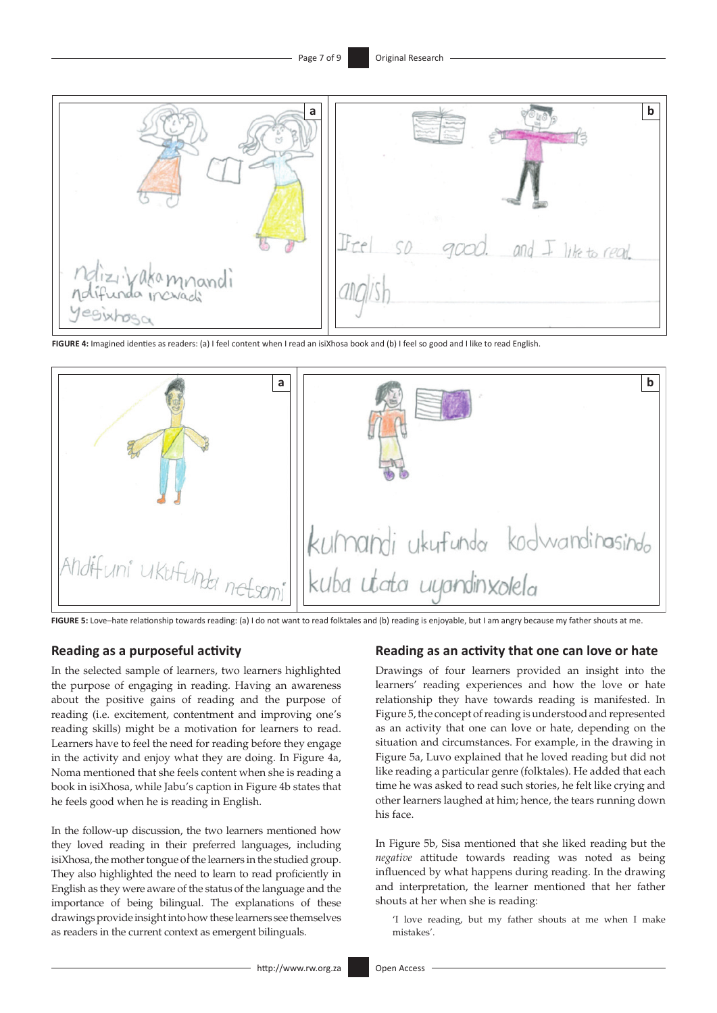![](_page_6_Picture_2.jpeg)

**FIGURE 4:** Imagined identies as readers: (a) I feel content when I read an isiXhosa book and (b) I feel so good and I like to read English.

![](_page_6_Picture_4.jpeg)

**FIGURE 5:** Love–hate relationship towards reading: (a) I do not want to read folktales and (b) reading is enjoyable, but I am angry because my father shouts at me.

#### **Reading as a purposeful activity**

In the selected sample of learners, two learners highlighted the purpose of engaging in reading. Having an awareness about the positive gains of reading and the purpose of reading (i.e. excitement, contentment and improving one's reading skills) might be a motivation for learners to read. Learners have to feel the need for reading before they engage in the activity and enjoy what they are doing. In Figure 4a, Noma mentioned that she feels content when she is reading a book in isiXhosa, while Jabu's caption in Figure 4b states that he feels good when he is reading in English.

In the follow-up discussion, the two learners mentioned how they loved reading in their preferred languages, including isiXhosa, the mother tongue of the learners in the studied group. They also highlighted the need to learn to read proficiently in English as they were aware of the status of the language and the importance of being bilingual. The explanations of these drawings provide insight into how these learners see themselves as readers in the current context as emergent bilinguals.

#### **Reading as an activity that one can love or hate**

Drawings of four learners provided an insight into the learners' reading experiences and how the love or hate relationship they have towards reading is manifested. In Figure 5, the concept of reading is understood and represented as an activity that one can love or hate, depending on the situation and circumstances. For example, in the drawing in Figure 5a, Luvo explained that he loved reading but did not like reading a particular genre (folktales). He added that each time he was asked to read such stories, he felt like crying and other learners laughed at him; hence, the tears running down his face.

In Figure 5b, Sisa mentioned that she liked reading but the *negative* attitude towards reading was noted as being influenced by what happens during reading. In the drawing and interpretation, the learner mentioned that her father shouts at her when she is reading:

'I love reading, but my father shouts at me when I make mistakes'.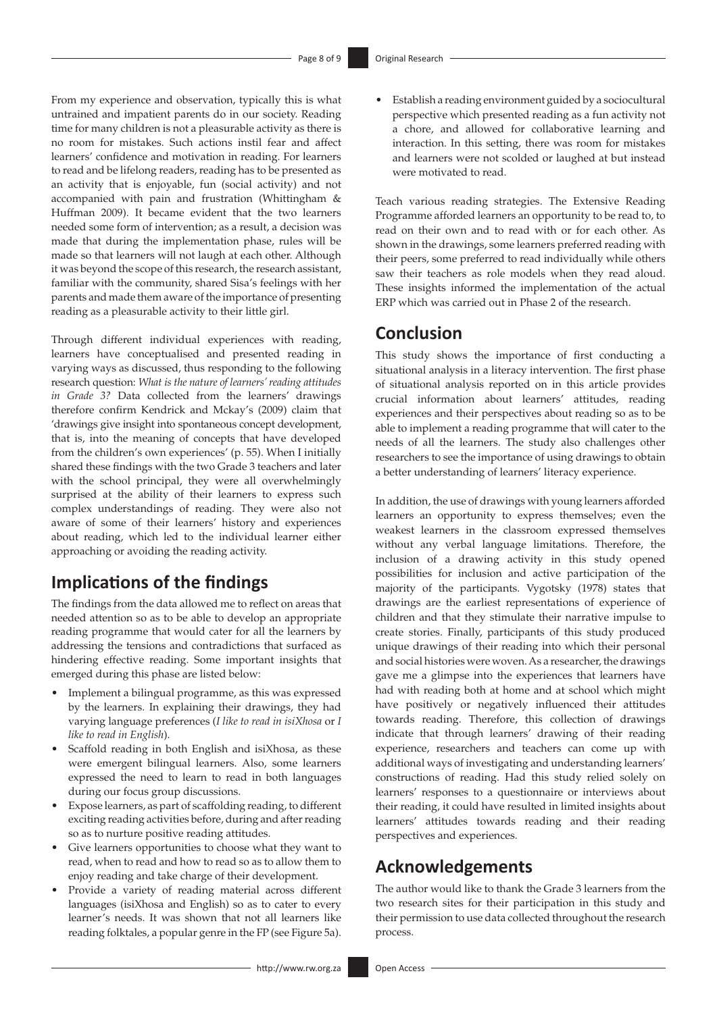From my experience and observation, typically this is what untrained and impatient parents do in our society. Reading time for many children is not a pleasurable activity as there is no room for mistakes. Such actions instil fear and affect learners' confidence and motivation in reading. For learners to read and be lifelong readers, reading has to be presented as an activity that is enjoyable, fun (social activity) and not accompanied with pain and frustration (Whittingham & Huffman 2009). It became evident that the two learners needed some form of intervention; as a result, a decision was made that during the implementation phase, rules will be made so that learners will not laugh at each other. Although it was beyond the scope of this research, the research assistant, familiar with the community, shared Sisa's feelings with her parents and made them aware of the importance of presenting reading as a pleasurable activity to their little girl.

Through different individual experiences with reading, learners have conceptualised and presented reading in varying ways as discussed, thus responding to the following research question: *What is the nature of learners' reading attitudes in Grade 3?* Data collected from the learners' drawings therefore confirm Kendrick and Mckay's (2009) claim that 'drawings give insight into spontaneous concept development, that is, into the meaning of concepts that have developed from the children's own experiences' (p. 55). When I initially shared these findings with the two Grade 3 teachers and later with the school principal, they were all overwhelmingly surprised at the ability of their learners to express such complex understandings of reading. They were also not aware of some of their learners' history and experiences about reading, which led to the individual learner either approaching or avoiding the reading activity.

# **Implications of the findings**

The findings from the data allowed me to reflect on areas that needed attention so as to be able to develop an appropriate reading programme that would cater for all the learners by addressing the tensions and contradictions that surfaced as hindering effective reading. Some important insights that emerged during this phase are listed below:

- • Implement a bilingual programme, as this was expressed by the learners. In explaining their drawings, they had varying language preferences (*I like to read in isiXhosa* or *I like to read in English*).
- Scaffold reading in both English and isiXhosa, as these were emergent bilingual learners. Also, some learners expressed the need to learn to read in both languages during our focus group discussions.
- Expose learners, as part of scaffolding reading, to different exciting reading activities before, during and after reading so as to nurture positive reading attitudes.
- Give learners opportunities to choose what they want to read, when to read and how to read so as to allow them to enjoy reading and take charge of their development.
- Provide a variety of reading material across different languages (isiXhosa and English) so as to cater to every learner's needs. It was shown that not all learners like reading folktales, a popular genre in the FP (see Figure 5a).

Establish a reading environment guided by a sociocultural perspective which presented reading as a fun activity not a chore, and allowed for collaborative learning and interaction. In this setting, there was room for mistakes and learners were not scolded or laughed at but instead were motivated to read.

Teach various reading strategies. The Extensive Reading Programme afforded learners an opportunity to be read to, to read on their own and to read with or for each other. As shown in the drawings, some learners preferred reading with their peers, some preferred to read individually while others saw their teachers as role models when they read aloud. These insights informed the implementation of the actual ERP which was carried out in Phase 2 of the research.

### **Conclusion**

This study shows the importance of first conducting a situational analysis in a literacy intervention. The first phase of situational analysis reported on in this article provides crucial information about learners' attitudes, reading experiences and their perspectives about reading so as to be able to implement a reading programme that will cater to the needs of all the learners. The study also challenges other researchers to see the importance of using drawings to obtain a better understanding of learners' literacy experience.

In addition, the use of drawings with young learners afforded learners an opportunity to express themselves; even the weakest learners in the classroom expressed themselves without any verbal language limitations. Therefore, the inclusion of a drawing activity in this study opened possibilities for inclusion and active participation of the majority of the participants. Vygotsky (1978) states that drawings are the earliest representations of experience of children and that they stimulate their narrative impulse to create stories. Finally, participants of this study produced unique drawings of their reading into which their personal and social histories were woven. As a researcher, the drawings gave me a glimpse into the experiences that learners have had with reading both at home and at school which might have positively or negatively influenced their attitudes towards reading. Therefore, this collection of drawings indicate that through learners' drawing of their reading experience, researchers and teachers can come up with additional ways of investigating and understanding learners' constructions of reading. Had this study relied solely on learners' responses to a questionnaire or interviews about their reading, it could have resulted in limited insights about learners' attitudes towards reading and their reading perspectives and experiences.

# **Acknowledgements**

The author would like to thank the Grade 3 learners from the two research sites for their participation in this study and their permission to use data collected throughout the research process.